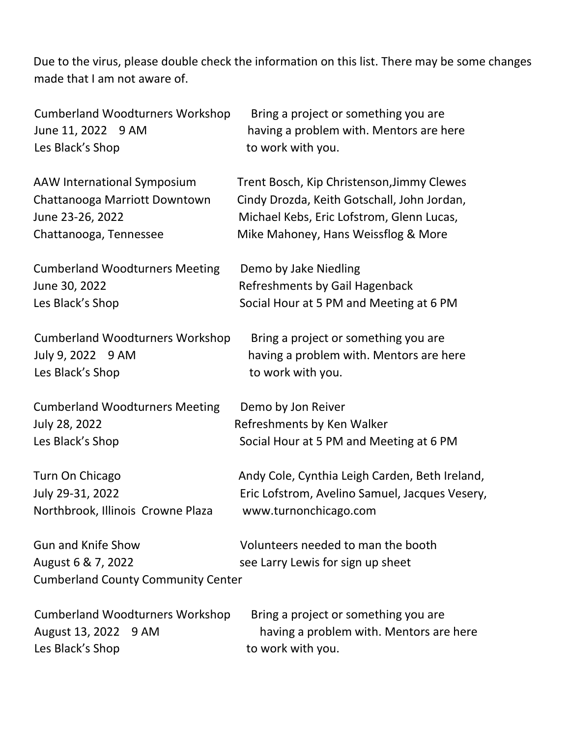Due to the virus, please double check the information on this list. There may be some changes made that I am not aware of.

| <b>Cumberland Woodturners Workshop</b>                                                       | Bring a project or something you are                                    |
|----------------------------------------------------------------------------------------------|-------------------------------------------------------------------------|
| June 11, 2022 9 AM                                                                           | having a problem with. Mentors are here                                 |
| Les Black's Shop                                                                             | to work with you.                                                       |
| AAW International Symposium                                                                  | Trent Bosch, Kip Christenson, Jimmy Clewes                              |
| Chattanooga Marriott Downtown                                                                | Cindy Drozda, Keith Gotschall, John Jordan,                             |
| June 23-26, 2022                                                                             | Michael Kebs, Eric Lofstrom, Glenn Lucas,                               |
| Chattanooga, Tennessee                                                                       | Mike Mahoney, Hans Weissflog & More                                     |
| <b>Cumberland Woodturners Meeting</b>                                                        | Demo by Jake Niedling                                                   |
| June 30, 2022                                                                                | Refreshments by Gail Hagenback                                          |
| Les Black's Shop                                                                             | Social Hour at 5 PM and Meeting at 6 PM                                 |
| <b>Cumberland Woodturners Workshop</b>                                                       | Bring a project or something you are                                    |
| July 9, 2022 9 AM                                                                            | having a problem with. Mentors are here                                 |
| Les Black's Shop                                                                             | to work with you.                                                       |
| <b>Cumberland Woodturners Meeting</b>                                                        | Demo by Jon Reiver                                                      |
| July 28, 2022                                                                                | Refreshments by Ken Walker                                              |
| Les Black's Shop                                                                             | Social Hour at 5 PM and Meeting at 6 PM                                 |
| Turn On Chicago                                                                              | Andy Cole, Cynthia Leigh Carden, Beth Ireland,                          |
| July 29-31, 2022                                                                             | Eric Lofstrom, Avelino Samuel, Jacques Vesery,                          |
| Northbrook, Illinois Crowne Plaza                                                            | www.turnonchicago.com                                                   |
| <b>Gun and Knife Show</b><br>August 6 & 7, 2022<br><b>Cumberland County Community Center</b> | Volunteers needed to man the booth<br>see Larry Lewis for sign up sheet |
| <b>Cumberland Woodturners Workshop</b>                                                       | Bring a project or something you are                                    |
| August 13, 2022 9 AM                                                                         | having a problem with. Mentors are here                                 |
| Les Black's Shop                                                                             | to work with you.                                                       |